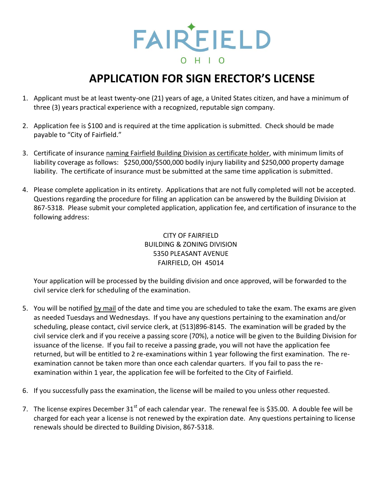

## **APPLICATION FOR SIGN ERECTOR'S LICENSE**

- 1. Applicant must be at least twenty-one (21) years of age, a United States citizen, and have a minimum of three (3) years practical experience with a recognized, reputable sign company.
- 2. Application fee is \$100 and is required at the time application is submitted. Check should be made payable to "City of Fairfield."
- 3. Certificate of insurance naming Fairfield Building Division as certificate holder, with minimum limits of liability coverage as follows: \$250,000/\$500,000 bodily injury liability and \$250,000 property damage liability. The certificate of insurance must be submitted at the same time application is submitted.
- 4. Please complete application in its entirety. Applications that are not fully completed will not be accepted. Questions regarding the procedure for filing an application can be answered by the Building Division at 867-5318. Please submit your completed application, application fee, and certification of insurance to the following address:

CITY OF FAIRFIELD BUILDING & ZONING DIVISION 5350 PLEASANT AVENUE FAIRFIELD, OH 45014

Your application will be processed by the building division and once approved, will be forwarded to the civil service clerk for scheduling of the examination.

- 5. You will be notified by mail of the date and time you are scheduled to take the exam. The exams are given as needed Tuesdays and Wednesdays. If you have any questions pertaining to the examination and/or scheduling, please contact, civil service clerk, at (513)896-8145. The examination will be graded by the civil service clerk and if you receive a passing score (70%), a notice will be given to the Building Division for issuance of the license. If you fail to receive a passing grade, you will not have the application fee returned, but will be entitled to 2 re-examinations within 1 year following the first examination. The reexamination cannot be taken more than once each calendar quarters. If you fail to pass the reexamination within 1 year, the application fee will be forfeited to the City of Fairfield.
- 6. If you successfully pass the examination, the license will be mailed to you unless other requested.
- 7. The license expires December 31<sup>st</sup> of each calendar year. The renewal fee is \$35.00. A double fee will be charged for each year a license is not renewed by the expiration date. Any questions pertaining to license renewals should be directed to Building Division, 867-5318.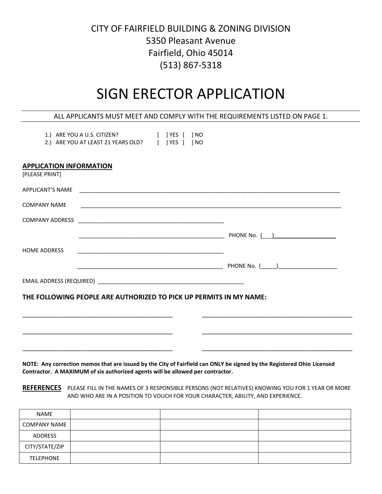## CITY OF FAIRFIELD BUILDING & ZONING DIVISION 5350 Pleasant Avenue Fairfield, Ohio 45014 (513) 867-5318

## SIGN ERECTOR APPLICATION

| ALL APPLICANTS MUST MEET AND COMPLY WITH THE REQUIREMENTS LISTED ON PAGE 1.                                                                 |  |
|---------------------------------------------------------------------------------------------------------------------------------------------|--|
| 1.) ARE YOU A U.S. CITIZEN? [ ] YES [ ] NO<br>2.) ARE YOU AT LEAST 21 YEARS OLD? [ ] YES [ ] NO                                             |  |
| <b>APPLICATION INFORMATION</b><br>[PLEASE PRINT]                                                                                            |  |
|                                                                                                                                             |  |
| <b>COMPANY NAME</b>                                                                                                                         |  |
|                                                                                                                                             |  |
|                                                                                                                                             |  |
| <b>HOME ADDRESS</b><br><u> 1980 - Johann John Stone, meil er format fan de ferske fan de ferske fan de ferske fan de ferske fan de fers</u> |  |
|                                                                                                                                             |  |
|                                                                                                                                             |  |
| THE FOLLOWING PEOPLE ARE AUTHORIZED TO PICK UP PERMITS IN MY NAME:                                                                          |  |
|                                                                                                                                             |  |
|                                                                                                                                             |  |
|                                                                                                                                             |  |

**NOTE: Any correction memos that are issued by the City of Fairfield can ONLY be signed by the Registered Ohio Licensed Contractor. A MAXIMUM of six authorized agents will be allowed per contractor.**

**REFERENCES** PLEASE FILL IN THE NAMES OF 3 RESPONSIBLE PERSONS (NOT RELATIVES) KNOWING YOU FOR 1 YEAR OR MORE AND WHO ARE IN A POSITION TO VOUCH FOR YOUR CHARACTER, ABILITY, AND EXPERIENCE.

| NAME                |  |  |
|---------------------|--|--|
| <b>COMPANY NAME</b> |  |  |
| ADDRESS             |  |  |
| CITY/STATE/ZIP      |  |  |
| <b>TELEPHONE</b>    |  |  |